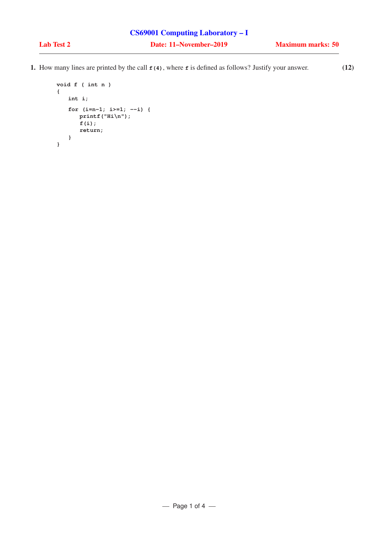1. How many lines are printed by the call **f(4)**, where **f** is defined as follows? Justify your answer. (12)

```
void f ( int n )
{
   int i;
   for (i=n-1; i>=1; --i) {
      printf("Hi\n");
      f(i);
      return;
   }
}
```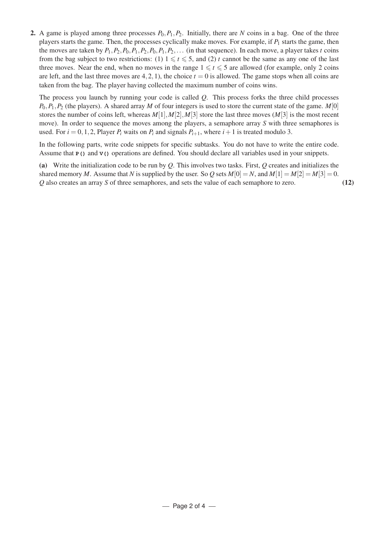2. A game is played among three processes  $P_0$ ,  $P_1$ ,  $P_2$ . Initially, there are N coins in a bag. One of the three players starts the game. Then, the processes cyclically make moves. For example, if  $P_1$  starts the game, then the moves are taken by  $P_1$ ,  $P_2$ ,  $P_0$ ,  $P_1$ ,  $P_2$ ,  $P_0$ ,  $P_1$ ,  $P_2$ ,... (in that sequence). In each move, a player takes *t* coins from the bag subject to two restrictions: (1)  $1 \le t \le 5$ , and (2) *t* cannot be the same as any one of the last three moves. Near the end, when no moves in the range  $1 \le t \le 5$  are allowed (for example, only 2 coins are left, and the last three moves are  $4,2,1$ ), the choice  $t = 0$  is allowed. The game stops when all coins are taken from the bag. The player having collected the maximum number of coins wins.

The process you launch by running your code is called *Q*. This process forks the three child processes  $P_0, P_1, P_2$  (the players). A shared array *M* of four integers is used to store the current state of the game. *M*[0] stores the number of coins left, whereas  $M[1], M[2], M[3]$  store the last three moves  $(M[3])$  is the most recent move). In order to sequence the moves among the players, a semaphore array *S* with three semaphores is used. For  $i = 0, 1, 2$ , Player  $P_i$  waits on  $P_i$  and signals  $P_{i+1}$ , where  $i+1$  is treated modulo 3.

In the following parts, write code snippets for specific subtasks. You do not have to write the entire code. Assume that **P()** and **V()** operations are defined. You should declare all variables used in your snippets.

(a) Write the initialization code to be run by *Q*. This involves two tasks. First, *Q* creates and initializes the shared memory *M*. Assume that *N* is supplied by the user. So *Q* sets  $M[0] = N$ , and  $M[1] = M[2] = M[3] = 0$ . *Q* also creates an array *S* of three semaphores, and sets the value of each semaphore to zero. (12)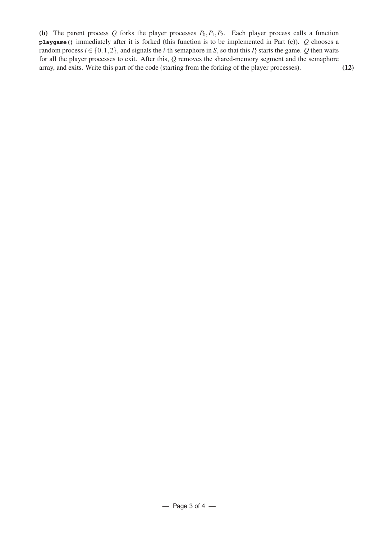(b) The parent process  $Q$  forks the player processes  $P_0, P_1, P_2$ . Each player process calls a function **playgame()** immediately after it is forked (this function is to be implemented in Part (c)). *Q* chooses a random process  $i \in \{0, 1, 2\}$ , and signals the *i*-th semaphore in *S*, so that this  $P_i$  starts the game. *Q* then waits for all the player processes to exit. After this, *Q* removes the shared-memory segment and the semaphore array, and exits. Write this part of the code (starting from the forking of the player processes). (12)